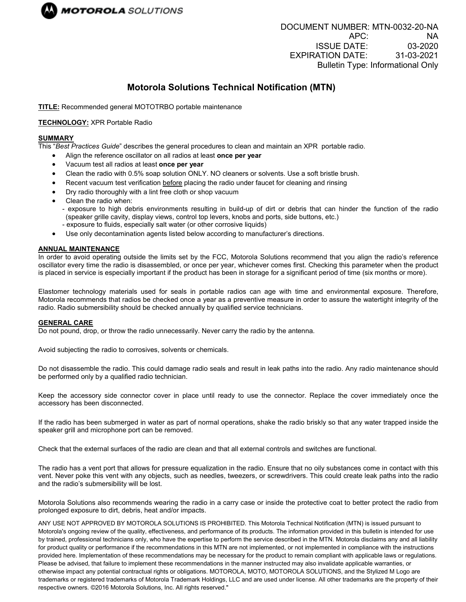

# **Motorola Solutions Technical Notification (MTN)**

**TITLE:** Recommended general MOTOTRBO portable maintenance

# **TECHNOLOGY:** XPR Portable Radio

## **SUMMARY**

This "*Best Practices Guide*" describes the general procedures to clean and maintain an XPR portable radio.

- Align the reference oscillator on all radios at least **once per year**
- Vacuum test all radios at least **once per year**
- Clean the radio with 0.5% soap solution ONLY. NO cleaners or solvents. Use a soft bristle brush.
- Recent vacuum test verification before placing the radio under faucet for cleaning and rinsing
- Dry radio thoroughly with a lint free cloth or shop vacuum
- Clean the radio when:
	- exposure to high debris environments resulting in build-up of dirt or debris that can hinder the function of the radio (speaker grille cavity, display views, control top levers, knobs and ports, side buttons, etc.)
	- exposure to fluids, especially salt water (or other corrosive liquids)
- Use only decontamination agents listed below according to manufacturer's directions.

## **ANNUAL MAINTENANCE**

In order to avoid operating outside the limits set by the FCC, Motorola Solutions recommend that you align the radio's reference oscillator every time the radio is disassembled, or once per year, whichever comes first. Checking this parameter when the product is placed in service is especially important if the product has been in storage for a significant period of time (six months or more).

Elastomer technology materials used for seals in portable radios can age with time and environmental exposure. Therefore, Motorola recommends that radios be checked once a year as a preventive measure in order to assure the watertight integrity of the radio. Radio submersibility should be checked annually by qualified service technicians.

#### **GENERAL CARE**

Do not pound, drop, or throw the radio unnecessarily. Never carry the radio by the antenna.

Avoid subjecting the radio to corrosives, solvents or chemicals.

Do not disassemble the radio. This could damage radio seals and result in leak paths into the radio. Any radio maintenance should be performed only by a qualified radio technician.

Keep the accessory side connector cover in place until ready to use the connector. Replace the cover immediately once the accessory has been disconnected.

If the radio has been submerged in water as part of normal operations, shake the radio briskly so that any water trapped inside the speaker grill and microphone port can be removed.

Check that the external surfaces of the radio are clean and that all external controls and switches are functional.

The radio has a vent port that allows for pressure equalization in the radio. Ensure that no oily substances come in contact with this vent. Never poke this vent with any objects, such as needles, tweezers, or screwdrivers. This could create leak paths into the radio and the radio's submersibility will be lost.

Motorola Solutions also recommends wearing the radio in a carry case or inside the protective coat to better protect the radio from prolonged exposure to dirt, debris, heat and/or impacts.

ANY USE NOT APPROVED BY MOTOROLA SOLUTIONS IS PROHIBITED. This Motorola Technical Notification (MTN) is issued pursuant to Motorola's ongoing review of the quality, effectiveness, and performance of its products. The information provided in this bulletin is intended for use by trained, professional technicians only, who have the expertise to perform the service described in the MTN. Motorola disclaims any and all liability for product quality or performance if the recommendations in this MTN are not implemented, or not implemented in compliance with the instructions provided here. Implementation of these recommendations may be necessary for the product to remain compliant with applicable laws or regulations. Please be advised, that failure to implement these recommendations in the manner instructed may also invalidate applicable warranties, or otherwise impact any potential contractual rights or obligations. MOTOROLA, MOTO, MOTOROLA SOLUTIONS, and the Stylized M Logo are trademarks or registered trademarks of Motorola Trademark Holdings, LLC and are used under license. All other trademarks are the property of their respective owners. ©2016 Motorola Solutions, Inc. All rights reserved."